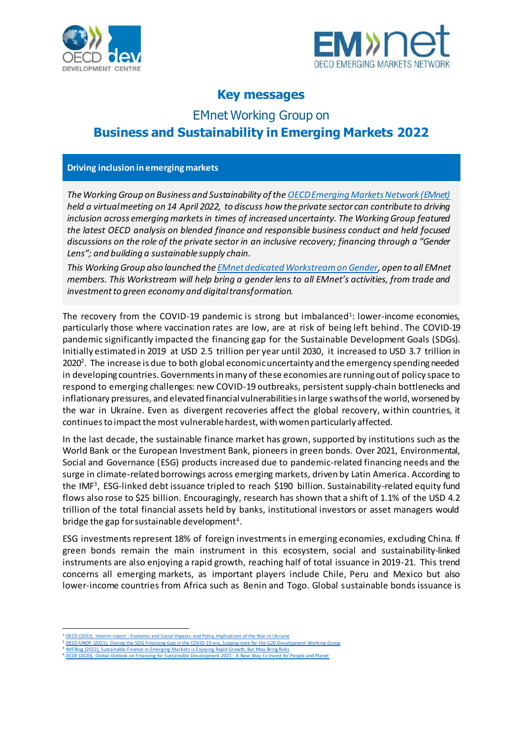



## **Key messages**

# EMnet Working Group on **Business and Sustainability in Emerging Markets 2022**

#### **Driving inclusion in emerging markets**

*The Working Group on Business and Sustainability of th[e OECD Emerging Markets Network \(EMnet\)](https://www.oecd.org/dev/emnet-emerging-markets-network.htm) held a virtual meeting on 14 April 2022, to discuss how the private sector can contribute to driving inclusion across emerging marketsin times of increased uncertainty. The Working Group featured the latest OECD analysis on blended finance and responsible business conduct and held focused discussions on the role of the private sector in an inclusive recovery; financing through a "Gender Lens"; and building a sustainable supply chain.*

*This Working Group also launched th[e EMnet dedicated Workstream on Gender,](https://oecd-my.sharepoint.com/:b:/g/personal/joseyek_gonzalez_oecd_org/EddUyTctcg9MgmBX8sk1adwBjPiyRg7zSYy5wK8u59TBbg?e=GliCCX) open to all EMnet members. This Workstream will help bring a gender lens to all EMnet's activities, from trade and investment to green economy and digital transformation.*

The recovery from the COVID-19 pandemic is strong but imbalanced<sup>1</sup>: lower-income economies, particularly those where vaccination rates are low, are at risk of being left behind. The COVID-19 pandemic significantly impacted the financing gap for the Sustainable Development Goals (SDGs). Initially estimated in 2019 at USD 2.5 trillion per year until 2030, it increased to USD 3.7 trillion in 2020 $^2$ . The increase is due to both global economic uncertainty and the emergency spending needed in developing countries. Governments in many of these economies are running out of policy space to respond to emerging challenges: new COVID-19 outbreaks, persistent supply-chain bottlenecks and inflationary pressures, and elevated financial vulnerabilities in large swaths of the world, worsened by the war in Ukraine. Even as divergent recoveries affect the global recovery, within countries, it continues to impact the most vulnerable hardest, with women particularly affected.

In the last decade, the sustainable finance market has grown, supported by institutions such as the World Bank or the European Investment Bank, pioneers in green bonds. Over 2021, Environmental, Social and Governance (ESG) products increased due to pandemic-related financing needs and the surge in climate-related borrowings across emerging markets, driven by Latin America. According to the IMF<sup>3</sup>, ESG-linked debt issuance tripled to reach \$190 billion. Sustainability-related equity fund flows also rose to \$25 billion. Encouragingly, research has shown that a shift of 1.1% of the USD 4.2 trillion of the total financial assets held by banks, institutional investors or asset managers would bridge the gap for sustainable development<sup>4</sup>.

ESG investments represent 18% of foreign investments in emerging economies, excluding China. If green bonds remain the main instrument in this ecosystem, social and sustainability-linked instruments are also enjoying a rapid growth, reaching half of total issuance in 2019-21. This trend concerns all emerging markets, as important players include Chile, Peru and Mexico but also lower-income countries from Africa such as Benin and Togo. Global sustainable bonds issuance is

<sup>&</sup>lt;sup>1</sup> OECD (2022), Interim report : Economic and Social Impacts [and Policy Implications of the War in Ukraine](https://www.oecd.org/economic-outlook/)

<sup>&</sup>lt;sup>2</sup> [OECD-UNDP \(2021\), Closing the SDG Financing Gap in the COVID-19 era, Scoping note for the G20 Development Working Group](https://www.oecd.org/dev/OECD-UNDP-Scoping-Note-Closing-SDG-Financing-Gap-COVID-19-era.pdf)<br><sup>3</sup> IMFBlog (2022), Sustainable Finance in Emerging Markets is Enjoying Rapid Growth, But May Brin

<sup>&</sup>lt;sup>4</sup> OCDE (2020), Global Outlook on Financing for Sustainable Development 2021 : A New Way to Invest for People and Planet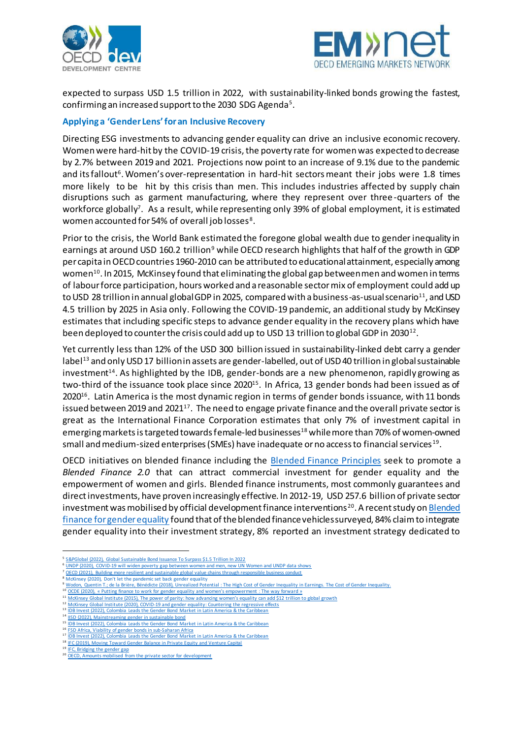



expected to surpass USD 1.5 trillion in 2022, with sustainability-linked bonds growing the fastest, confirming an increased support to the 2030 SDG Agenda<sup>5</sup> .

#### **Applying a 'Gender Lens' for an Inclusive Recovery**

Directing ESG investments to advancing gender equality can drive an inclusive economic recovery. Women were hard-hit by the COVID-19 crisis, the poverty rate for women was expected to decrease by 2.7% between 2019 and 2021. Projections now point to an increase of 9.1% due to the pandemic and its fallout<sup>6</sup>. Women's over-representation in hard-hit sectors meant their jobs were 1.8 times more likely to be hit by this crisis than men. This includes industries affected by supply chain disruptions such as garment manufacturing, where they represent over three -quarters of the workforce globally<sup>7</sup>. As a result, while representing only 39% of global employment, it is estimated women accounted for 54% of overall job losses $^{\rm 8}.$ 

Prior to the crisis, the World Bank estimated the foregone global wealth due to gender inequality in earnings at around USD 160.2 trillion<sup>9</sup> while OECD research highlights that half of the growth in GDP per capita in OECD countries 1960-2010 can be attributed to educational attainment, especially among women $^{\rm 10}$ . In 2015, McKinsey found that eliminating the global gap between men and women in terms of labour force participation, hours worked and a reasonable sector mix of employment could add up to USD 28 trillion in annual global GDP in 2025, compared with a business-as-usual scenario<sup>11</sup>, and USD 4.5 trillion by 2025 in Asia only. Following the COVID-19 pandemic, an additional study by McKinsey estimates that including specific steps to advance gender equality in the recovery plans which have been deployed to counter the crisis could add up to USD 13 trillion to global GDP in 2030 $^{\rm 12}.$ 

Yet currently less than 12% of the USD 300 billion issued in sustainability-linked debt carry a gender label<sup>13</sup> and only USD 17 billion in assets are gender-labelled, out of USD 40 trillion in global sustainable investment<sup>14</sup>. As highlighted by the IDB, gender-bonds are a new phenomenon, rapidly growing as two-third of the issuance took place since 2020<sup>15</sup>. In Africa, 13 gender bonds had been issued as of 2020<sup>16</sup>. Latin America is the most dynamic region in terms of gender bonds issuance, with 11 bonds issued between 2019 and 2021 $^{\rm 17}$ . The need to engage private finance and the overall private sector is great as the International Finance Corporation estimates that only 7% of investment capital in emerging markets is targeted towards female-led businesses<sup>18</sup> while more than 70% of women-owned small and medium-sized enterprises (SMEs) have inadequate or no access to financial services  $^{\rm 19}.$ 

OECD initiatives on blended finance including the **Blended Finance Principles** seek to promote a *Blended Finance 2.0* that can attract commercial investment for gender equality and the empowerment of women and girls. Blended finance instruments, most commonly guarantees and direct investments, have proven increasingly effective. In 2012-19, USD 257.6 billion of private sector investment was mobilised by official development finance interventions<sup>20</sup>. A recent study on Blended [finance for gender equality](https://www.oecd.org/dac/2022-blended-finance-gender-equality.pdf) found that of the blended finance vehicles surveyed, 84% claim to integrate gender equality into their investment strategy, 8% reported an investment strategy dedicated to

<sup>7</sup> [OECD \(2021\), Building more resilient and sustainable global value chains through responsible business conduct](https://mneguidelines.oecd.org/Building-more-resilient-and-sustainable-global-value-chains-through-responsible-business-conduct.pdf)

- <sup>9</sup> Wodon, Quentin T.; de la Brière, Bénédicte (2018), [Unrealized Potential : The High Cost of Gender Inequality in Earnings.](https://openknowledge.worldbank.org/bitstream/handle/10986/29865/126579-Public-on-5-30-18-WorldBank-GenderInequality-Brief-v13.pdf?sequence=1&isAllowed=y) The Cost of Gender Inequality.
- <sup>10</sup> OCDE (2020), « [Putting finance to work for gender equality and women's empowerment](https://www.oecd-ilibrary.org/docserver/f0fa4d91-en.pdf?expires=1649395907&id=id&accname=guest&checksum=1B93A89D0758B416E10A517DA52EB03E) : The way forward »  $\frac{1}{2}$ <br>
<sup>11</sup> MeKingay Clobal Institute (2015). The gauge of partitu bou orkeaning upmar's equality see add 5.1 <sup>11</sup> McKinsey Global Institute (2015), [The power of parity: how advancing women's equality can add \\$12](https://www.mckinsey.com/featured-insights/employment-and-growth/how-advancing-womens-equality-can-add-12-trillion-to-global-growth) trillion to global growth

<sup>13</sup> [IDB Invest \(2022\), Colombia Leads the Gender Bond Market in Latin America & the Caribbean](https://idbinvest.org/en/blog/gender/colombia-leads-gender-bond-market-latin-america-caribbean) <sup>14</sup> [IISD \(2022\), Mainstreaming gender in sustainable bond](https://www.iisd.org/projects/mainstreaming-gender-sustainable-bonds)

 $\overline{a}$ 

<sup>&</sup>lt;sup>5</sup> [S&PGlobal \(2022\), Global Sustainable Bond Issuance To Surpass \\$1.5 Trillion In 2022](https://www.spglobal.com/ratings/en/research/articles/220207-global-sustainable-bond-issuance-to-surpass-1-5-trillion-in-2022-12262243)

<sup>6</sup> [UNDP \(2020\), COVID-19 will widen poverty gap between women and men, new UN Women and UNDP data shows](https://www.undp.org/press-releases/covid-19-will-widen-poverty-gap-between-women-and-men-new-un-women-and-undp-data)

<sup>8</sup> [McKinsey \(2020\), Don't let the pandemic set back gender equality](https://www.mckinsey.com/mgi/overview/in-the-news/dont-let-the-pandemic-set-back-gender-equality)

[McKinsey Global Institute \(2020\), COVID-19 and gender equality: Countering the regressive effects](https://www.mckinsey.com/featured-insights/future-of-work/covid-19-and-gender-equality-countering-the-regressive-effects)

<sup>15</sup> [IDB Invest \(2022\), Colombia Leads the Gender Bond Market in Latin America & the Caribbean](https://idbinvest.org/en/blog/gender/colombia-leads-gender-bond-market-latin-america-caribbean)

<sup>16</sup> [FSD Africa, Viability of gender bonds in sub-Saharan Africa](https://www.fsdafrica.org/publication/viability-of-gender-bonds-in-sub-saharan-africa/)

<sup>17 &</sup>lt;u>[IDB Invest \(2022\), Colombia Leads the Gender Bond Market in Latin America & the Caribbean](https://idbinvest.org/en/blog/gender/colombia-leads-gender-bond-market-latin-america-caribbean)</u> <sup>18</sup> [IFC \(2019\), Moving Toward Gender Balance in Private Equity and Venture Capital](https://www.ifc.org/wps/wcm/connect/79e641c9-824f-4bd8-9f1c-00579862fed3/Moving+Toward+Gender+Balance+Final_3_22.pdf?MOD=AJPERES&CVID=mCBJFra)<br><sup>19</sup> IFC Dridging the gooder sep

<sup>19</sup> [IFC, Bridging the gender gap](https://www.ifc.org/wps/wcm/connect/news_ext_content/ifc_external_corporate_site/news+and+events/news/bridging-gender-gap#:~:text=IFC%20has%20estimated%20that%20worldwide,no%20access%20to%20financial%20services)

<sup>&</sup>lt;sup>20</sup> [OECD, Amounts mobilised from the private sector for development](https://www.oecd.org/dac/financing-sustainable-development/development-finance-standards/mobilisation.htm)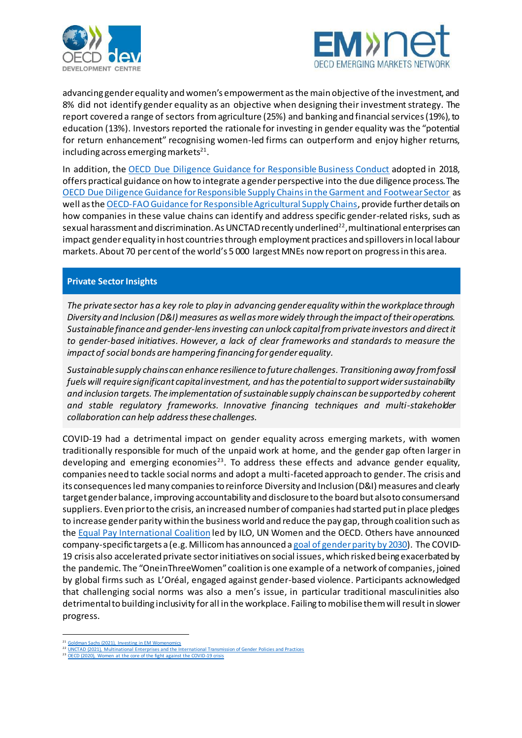



advancing gender equality and women's empowerment as the main objective of the investment, and 8% did not identify gender equality as an objective when designing their investment strategy. The report covered a range of sectors from agriculture (25%) and banking and financial services (19%), to education (13%). Investors reported the rationale for investing in gender equality was the "potential for return enhancement" recognising women-led firms can outperform and enjoy higher returns, including across emerging markets $^{\mathfrak{21}}$ .

In addition, the [OECD Due Diligence Guidance for Responsible Business Conduct](https://www.oecd.org/investment/due-diligence-guidance-for-responsible-business-conduct.htm) adopted in 2018, offers practical guidance on how to integrate a gender perspective into the due diligence process. The [OECD Due Diligence Guidance for Responsible Supply Chains in the Garment and Footwear Sector](https://www.oecd.org/industry/inv/mne/responsible-supply-chains-textile-garment-sector.htm) as well as the OECD-FAO Guidance for [Responsible Agricultural Supply Chains](file://///main.oecd.org/sdataDEV/Data/EmNet/Meetings/2022/14042022%20Working%20Group%20on%20Business%20and%20Sustainability/Background%20material/OECD-FAO%20Guidance%20for%20Responsible%20Agricultural%20Supply%20Chains), provide further details on how companies in these value chains can identify and address specific gender-related risks, such as sexual harassment and discrimination. As UNCTAD recently underlined<sup>22</sup>, multinational enterprises can impact gender equality in host countries through employment practices and spillovers in local labour markets. About 70 per cent of the world's 5 000 largest MNEs now report on progress in this area.

### **Private Sector Insights**

*The private sector has a key role to play in advancing gender equality within the workplace through Diversity and Inclusion (D&I) measures as well as more widely through the impact of their operations. Sustainable finance and gender-lens investing can unlock capital from private investors and direct it to gender-based initiatives. However, a lack of clear frameworks and standards to measure the impact of social bonds are hampering financing for gender equality.*

*Sustainable supply chains can enhance resilience to future challenges. Transitioning away from fossil fuels will require significant capital investment, and hasthe potential to support wider sustainability and inclusion targets. The implementation of sustainable supply chains can be supported by coherent and stable regulatory frameworks. Innovative financing techniques and multi-stakeholder collaboration can help address these challenges.* 

COVID-19 had a detrimental impact on gender equality across emerging markets, with women traditionally responsible for much of the unpaid work at home, and the gender gap often larger in developing and emerging economies<sup>23</sup>. To address these effects and advance gender equality, companies need to tackle social norms and adopt a multi-faceted approach to gender. The crisis and its consequences ledmany companies to reinforce Diversity and Inclusion (D&I) measures and clearly target gender balance, improving accountability and disclosure to the board but also to consumersand suppliers. Even prior to the crisis, an increased number of companies had started put in place pledges to increase gender parity within the business world and reduce the pay gap, through coalition such as the [Equal Pay International Coalition](https://www.equalpayinternationalcoalition.org/) led by ILO, UN Women and the OECD. Others have announced company-specific targets a (e.g. Millicom has announced [a goal of gender parity by 2030\)](https://millicom.gcs-web.com/news-releases/news-release-details/millicom-tigo-unveils-three-year-operational-financial-and). The COVID-19 crisis also accelerated private sector initiatives on social issues, which risked being exacerbated by the pandemic. The "OneinThreeWomen" coalition is one example of a network of companies, joined by global firms such as L'Oréal, engaged against gender-based violence. Participants acknowledged that challenging social norms was also a men's issue, in particular traditional masculinities also detrimental to building inclusivity for all in the workplace. Failing to mobilisethem will result in slower progress.

<sup>23</sup> [OECD \(2020\), Women at the core of the fight against the COVID-19 crisis](https://www.oecd.org/coronavirus/policy-responses/women-at-the-core-of-the-fight-against-covid-19-crisis-553a8269/#section-d1e264)

 $\overline{a}$ <sup>1</sup> [Goldman Sachs \(2021\), Investing in EM Womenomics](https://www.goldmansachs.com/insights/pages/investing-in-em-womenomics.html)

UNCTAD (2021), Multi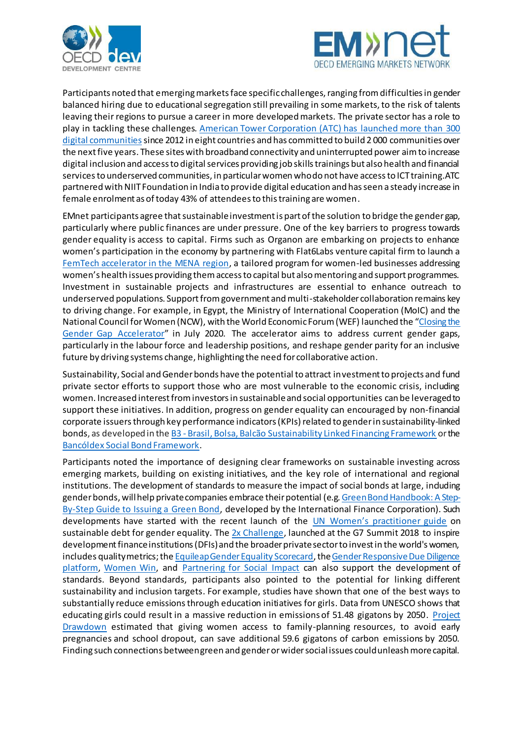



Participants noted that emerging markets face specific challenges, ranging from difficulties in gender balanced hiring due to educational segregation still prevailing in some markets, to the risk of talents leaving their regions to pursue a career in more developed markets. The private sector has a role to play in tackling these challenges[. American Tower Corporation \(ATC\) has launched more than 300](https://www.americantower.com/us/sustainability/digital-communities.html)  [digital communities](https://www.americantower.com/us/sustainability/digital-communities.html) since 2012 in eight countries and has committed to build 2000 communities over the next five years. These sites with broadband connectivity and uninterrupted power aimto increase digital inclusion and access to digital services providing job skills trainings but also health and financial servicesto underserved communities, in particular women who do not have access to ICT training. ATC partnered with NIIT Foundation in India to provide digital education and has seen a steady increase in female enrolment as of today 43% of attendees to this training are women.

EMnet participants agree that sustainable investment is part of the solution to bridge the gender gap, particularly where public finances are under pressure. One of the key barriers to progress towards gender equality is access to capital. Firms such as Organon are embarking on projects to enhance women's participation in the economy by partnering with Flat6Labs venture capital firm to launch a [FemTech accelerator in the MENA region](https://www.flat6labs.com/organon-and-flat6labs-launch-accelerator-for-female-founded-start-ups-operating-in-digital-healthcare-in-mena/), a tailored program for women-led businesses addressing women's health issues providing them access to capital but also mentoring and support programmes. Investment in sustainable projects and infrastructures are essential to enhance outreach to underserved populations. Support from government and multi-stakeholder collaboration remains key to driving change. For example, in Egypt, the Ministry of International Cooperation (MoIC) and the National Council for Women (NCW), with the World Economic Forum (WEF) launched the "[Closing the](https://www.weforum.org/platforms/centre-for-the-new-economy-and-society/projects/closing-the-gender-gap-accelerator-egypt)  [Gender Gap Accelerator](https://www.weforum.org/platforms/centre-for-the-new-economy-and-society/projects/closing-the-gender-gap-accelerator-egypt)" in July 2020. The accelerator aims to address current gender gaps, particularly in the labour force and leadership positions, and reshape gender parity for an inclusive future by driving systems change, highlighting the need for collaborative action.

Sustainability, Social and Gender bonds have the potential to attract investment to projects and fund private sector efforts to support those who are most vulnerable to the economic crisis, including women. Increased interest from investors in sustainable and social opportunities can be leveragedto support these initiatives. In addition, progress on gender equality can encouraged by non-financial corporate issuers through key performance indicators (KPIs) related to gender in sustainability-linked bonds, as developed in the B3 - Brasil, [Bolsa, Balcão Sustainability Linked Financing Framework](https://www.sustainalytics.com/corporate-solutions/sustainable-finance-and-lending/published-projects/project/b3-s.a.--brasil-bolsa-balc%C3%A3o/b3-sustainability-linked-financing-framework-second-party-opinion(2021/b3-sustainability-linked-financing-framework-second-party-opinion) or the [Bancóldex Social Bond Framework](https://www.bancoldex.com/sites/default/files/spo_framework_2020_english_version.pdf).

Participants noted the importance of designing clear frameworks on sustainable investing across emerging markets, building on existing initiatives, and the key role of international and regional institutions. The development of standards to measure the impact of social bonds at large, including gender bonds, will help private companies embrace their potential (e.[g. Green Bond Handbook:](https://www.ifc.org/wps/wcm/connect/publications_ext_content/ifc_external_publication_site/publications_listing_page/202203-green-bond-handbook) A Step-[By-Step Guide to Issuing a Green Bond,](https://www.ifc.org/wps/wcm/connect/publications_ext_content/ifc_external_publication_site/publications_listing_page/202203-green-bond-handbook) developed by the International Finance Corporation). Such developments have started with the recent launch of the [UN Women's practitioner guide](https://www.icmagroup.org/assets/documents/Sustainable-finance/ICMAUN-WomenIFC-Bonds-to-Bridge-the-Gender-Gap-A-Practitioners-Guide-to-Using-Sustainable-Debt-for-Gender-Equality-November-2021.pdf) on sustainable debt for gender equality. Th[e 2x Challenge](https://www.2xchallenge.org/), launched at the G7 Summit 2018 to inspire development finance institutions (DFIs) and the broader private sector to invest in the world's women, includes quality metrics; th[e Equileap Gender Equality Scorecard](https://equileap.com/wp-content/uploads/2020/12/EquileapGenderScorecard-2020.pdf), the Gender Responsive Due Diligence [platform,](https://www.genderduediligence.org/) [Women Win,](https://www.womenwin.org/) and [Partnering for Social Impact](https://partneringforsocialimpact.com/) can also support the development of standards. Beyond standards, participants also pointed to the potential for linking different sustainability and inclusion targets. For example, studies have shown that one of the best ways to substantially reduce emissions through education initiatives for girls. Data from UNESCO shows that educating girls could result in a massive reduction in emissions of 51.48 gigatons by 2050. [Project](https://drawdown.org/solutions/health-and-education)  [Drawdown](https://drawdown.org/solutions/health-and-education) estimated that giving women access to family-planning resources, to avoid early pregnancies and school dropout, can save additional 59.6 gigatons of carbon emissions by 2050. Finding such connections between green and gender or wider social issues could unleash more capital.